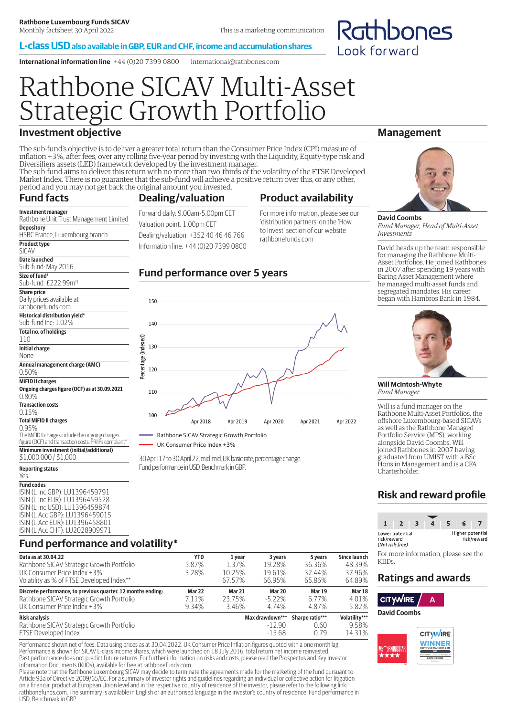#### **L-class USD also available in GBP, EUR and CHF, income and accumulation shares**

**International information line** +44 (0)20 7399 0800 international@rathbones.com

# Rathbone SICAV Multi-Asset Strategic Growth Portfolio

# **Investment objective**

Rathbone Unit Trust Management Limited

HSBC France, Luxembourg branch

The sub-fund's objective is to deliver a greater total return than the Consumer Price Index (CPI) measure of inflation +3%, after fees, over any rolling five-year period by investing with the Liquidity, Equity-type risk and Diversifiers assets (LED) framework developed by the investment manager. The sub-fund aims to deliver this return with no more than two-thirds of the volatility of the FTSE Developed

Market Index. There is no guarantee that the sub-fund will achieve a positive return over this, or any other, period and you may not get back the original amount you invested.

#### **Fund facts Investment manager**

Sub-fund: £222.99m††

Daily prices available at rathbonefunds.com **Historical distribution yield\*** Sub-fund Inc: 1.02% **Total no. of holdings**

**Annual management charge (AMC)**

**Ongoing charges figure (OCF) as at 30.09.2021**

The MiFID II charges include the ongoing charges figure (OCF) and transaction costs. PRIIPs compliant^ **Minimum investment (initial/additional)**

**Depository**

**Product type** SICAV **Date launched** Sub-fund: May 2016 **Size of fund†**

**Share price**

110 **Initial charge** None

0.50% **MiFID II charges**

0.80% **Transaction costs** 0.15%

### **Dealing/valuation**

## **Product availability**

Forward daily: 9.00am-5.00pm CET Valuation point: 1.00pm CET Dealing/valuation: +352 40 46 46 766 Information line: +44 (0)20 7399 0800 For more information, please see our 'distribution partners' on the 'How to Invest' section of our website rathbonefunds.com

### **Fund performance over 5 years**



Rathbone SICAV Strategic Growth Portfolio

LIK Consumer Price Index +3%

30 April 17 to 30 April 22, mid-mid, UK basic rate, percentage change. Fund performance in USD, Benchmark in GBP.

# \$1,000,000 / \$1,000

**Total MiFID II charges** 0.95%

**Reporting status** Yes **Fund codes** ISIN (L Inc GBP): LU1396459791 ISIN (L Inc EUR): LU1396459528 ISIN (L Inc USD): LU1396459874 ISIN (L Acc GBP): LU1396459015 ISIN (L Acc EUR): LU1396458801 ISIN (L Acc CHF): LU2028909971

# **Fund performance and volatility\***

| Data as at 30.04.22                                                                                                                      | YTD                             | 1 year                           | 3 years                        | 5 years                         | <b>Since launch</b>               |
|------------------------------------------------------------------------------------------------------------------------------------------|---------------------------------|----------------------------------|--------------------------------|---------------------------------|-----------------------------------|
| Rathbone SICAV Strategic Growth Portfolio<br>UK Consumer Price Index +3%<br>Volatility as % of FTSE Developed Index**                    | $-5.87\%$<br>3.28%              | 1.37%<br>10.25%<br>67.57%        | 19.28%<br>19.61%<br>66.95%     | 36.36%<br>32.44%<br>65.86%      | 48.39%<br>37.96%<br>64.89%        |
| Discrete performance, to previous quarter. 12 months ending:<br>Rathbone SICAV Strategic Growth Portfolio<br>UK Consumer Price Index +3% | <b>Mar 22</b><br>7.11%<br>9.34% | <b>Mar 21</b><br>23.75%<br>3.46% | Mar 20<br>$-5.22\%$<br>4 7 4 % | <b>Mar 19</b><br>6.77%<br>4.87% | Mar 18<br>4.01%<br>5.82%          |
| Risk analysis<br>Rathbone SICAV Strategic Growth Portfolio<br>$\blacksquare$                                                             |                                 |                                  | Max drawdown***<br>$-12.90$    | Sharpe ratio***<br>0.60         | Volatility***<br>9.58%<br>1.23101 |

FTSE Developed Index and the state of the state of the state of the state of the state of the state of the state of the state of the state of the state of the state of the state of the state of the state of the state of th Performance shown net of fees. Data using prices as at 30.04.2022. UK Consumer Price Inflation figures quoted with a one month lag. Performance is shown for SICAV L-class income shares, which were launched on 18 July 2016, total return net income reinvested.

Past performance does not predict future returns. For further information on risks and costs, please read the Prospectus and Key Investor Information Documents (KIIDs), available for free at rathbonefunds.com.

Please note that the Rathbone Luxembourg SICAV may decide to terminate the agreements made for the marketing of the fund pursuant to Article 93a of Directive 2009/65/EC. For a summary of investor rights and guidelines regarding an individual or collective action for litigation on a financial product at European Union level and in the respective country of residence of the investor, please refer to the following link: rathbonefunds.com. The summary is available in English or an authorised language in the investor's country of residence. Fund performance in USD, Benchmark in GBP.

## **Management**

Rathbones

Look forward



**David Coombs** *Fund Manager, Head of Multi-Asset Investments*

David heads up the team responsible for managing the Rathbone Multi-Asset Portfolios. He joined Rathbones in 2007 after spending 19 years with Baring Asset Management where he managed multi-asset funds and segregated mandates. His career began with Hambros Bank in 1984.



**Will McIntosh-Whyte** *Fund Manager*

Will is a fund manager on the Rathbone Multi-Asset Portfolios, the offshore Luxembourg-based SICAVs as well as the Rathbone Managed Portfolio Service (MPS), working alongside David Coombs. Will joined Rathbones in 2007 having graduated from UMIST with a BSc Hons in Management and is a CFA Charterholder.

# **Risk and reward profile**



For more information, please see the KIIDs.

## **Ratings and awards**

**CITYWIRE**  $\Delta$ 

**David Coombs**